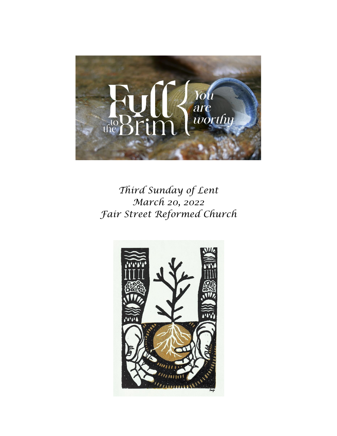

# *Third Sunday of Lent March 20, 2022 Fair Street Reformed Church*

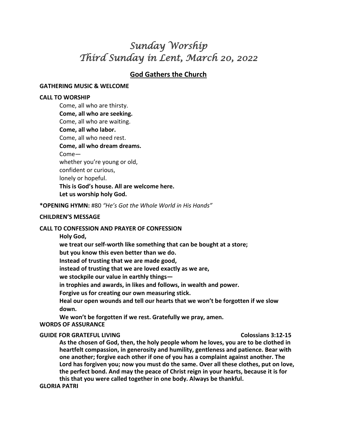# *Sunday Worship Third Sunday in Lent, March 20, 2022*

## **God Gathers the Church**

#### **GATHERING MUSIC & WELCOME**

#### **CALL TO WORSHIP**

Come, all who are thirsty. **Come, all who are seeking.**  Come, all who are waiting. **Come, all who labor.**  Come, all who need rest. **Come, all who dream dreams.** Come whether you're young or old, confident or curious, lonely or hopeful. **This is God's house. All are welcome here. Let us worship holy God.** 

**\*OPENING HYMN:** #80 *"He's Got the Whole World in His Hands"*

#### **CHILDREN'S MESSAGE**

#### **CALL TO CONFESSION AND PRAYER OF CONFESSION**

**Holy God,**

**we treat our self-worth like something that can be bought at a store;**

**but you know this even better than we do.**

**Instead of trusting that we are made good,**

**instead of trusting that we are loved exactly as we are,**

**we stockpile our value in earthly things—**

**in trophies and awards, in likes and follows, in wealth and power.**

**Forgive us for creating our own measuring stick.**

**Heal our open wounds and tell our hearts that we won't be forgotten if we slow down.**

**We won't be forgotten if we rest. Gratefully we pray, amen.**

#### **WORDS OF ASSURANCE**

#### **GUIDE FOR GRATEFUL LIVING COLORGIZED AT LACK COLOSSIANS 3:12-15**

**As the chosen of God, then, the holy people whom he loves, you are to be clothed in heartfelt compassion, in generosity and humility, gentleness and patience. Bear with one another; forgive each other if one of you has a complaint against another. The Lord has forgiven you; now you must do the same. Over all these clothes, put on love, the perfect bond. And may the peace of Christ reign in your hearts, because it is for this that you were called together in one body. Always be thankful.**

#### **GLORIA PATRI**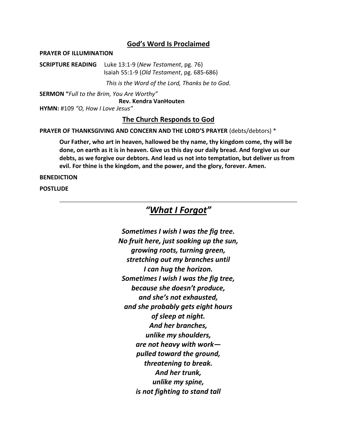### **God's Word Is Proclaimed**

#### **PRAYER OF ILLUMINATION**

**SCRIPTURE READING** Luke 13:1-9 (*New Testament*, pg. 76) Isaiah 55:1-9 (*Old Testament*, pg. 685-686)

*This is the Word of the Lord, Thanks be to God.*

**SERMON "***Full to the Brim, You Are Worthy"* **Rev. Kendra VanHouten HYMN:** #109 *"O, How I Love Jesus"*

### **The Church Responds to God**

**PRAYER OF THANKSGIVING AND CONCERN AND THE LORD'S PRAYER** (debts/debtors) \*

**Our Father, who art in heaven, hallowed be thy name, thy kingdom come, thy will be done, on earth as it is in heaven. Give us this day our daily bread. And forgive us our debts, as we forgive our debtors. And lead us not into temptation, but deliver us from evil. For thine is the kingdom, and the power, and the glory, forever. Amen.** 

#### **BENEDICTION**

**POSTLUDE**

# *"What I Forgot"*

*Sometimes I wish I was the fig tree. No fruit here, just soaking up the sun, growing roots, turning green, stretching out my branches until I can hug the horizon. Sometimes I wish I was the fig tree, because she doesn't produce, and she's not exhausted, and she probably gets eight hours of sleep at night. And her branches, unlike my shoulders, are not heavy with work pulled toward the ground, threatening to break. And her trunk, unlike my spine, is not fighting to stand tall*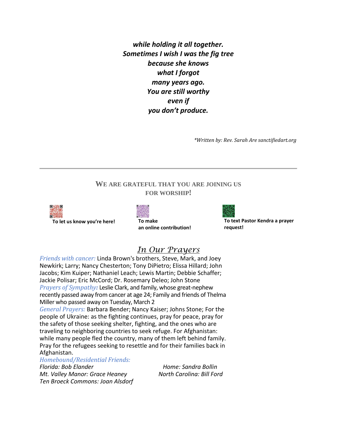*while holding it all together. Sometimes I wish I was the fig tree because she knows what I forgot many years ago. You are still worthy even if you don't produce.*

*\*Written by: Rev. Sarah Are sanctifiedart.org*

## **WE ARE GRATEFUL THAT YOU ARE JOINING US FOR WORSHIP!**



**To let us know you're here! To make**



**an online contribution!**



**To text Pastor Kendra a prayer request!**

# *In Our Prayers*

*Friends with cancer:* Linda Brown's brothers, Steve, Mark, and Joey Newkirk; Larry; Nancy Chesterton; Tony DiPietro; Elissa Hillard; John Jacobs; Kim Kuiper; Nathaniel Leach; Lewis Martin; Debbie Schaffer; Jackie Polisar; Eric McCord; Dr. Rosemary Deleo; John Stone *Prayers of Sympathy:* Leslie Clark, and family, whose great-nephew recently passed away from cancer at age 24; Family and friends of Thelma Miller who passed away on Tuesday, March 2

*General Prayers:* Barbara Bender; Nancy Kaiser; Johns Stone; For the people of Ukraine: as the fighting continues, pray for peace, pray for the safety of those seeking shelter, fighting, and the ones who are traveling to neighboring countries to seek refuge. For Afghanistan: while many people fled the country, many of them left behind family. Pray for the refugees seeking to resettle and for their families back in Afghanistan.

#### *Homebound/Residential Friends:*

*Florida: Bob Elander Home: Sandra Bollin Mt. Valley Manor: Grace Heaney North Carolina: Bill Ford Ten Broeck Commons: Joan Alsdorf*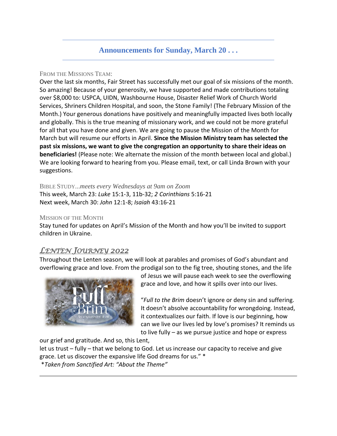# **Announcements for Sunday, March 20 . . .**

#### FROM THE MISSIONS TEAM:

Over the last six months, Fair Street has successfully met our goal of six missions of the month. So amazing! Because of your generosity, we have supported and made contributions totaling over \$8,000 to: USPCA, UIDN, Washbourne House, Disaster Relief Work of Church World Services, Shriners Children Hospital, and soon, the Stone Family! (The February Mission of the Month.) Your generous donations have positively and meaningfully impacted lives both locally and globally. This is the true meaning of missionary work, and we could not be more grateful for all that you have done and given. We are going to pause the Mission of the Month for March but will resume our efforts in April. **Since the Mission Ministry team has selected the past six missions, we want to give the congregation an opportunity to share their ideas on beneficiaries!** (Please note: We alternate the mission of the month between local and global.) We are looking forward to hearing from you. Please email, text, or call Linda Brown with your suggestions.

BIBLE STUDY...*meets every Wednesdays at 9am on Zoom* This week, March 23: *Luke* 15:1-3, 11b-32; *2 Corinthians* 5:16-21 Next week, March 30: *John* 12:1-8; *Isaiah* 43:16-21

#### MISSION OF THE MONTH

Stay tuned for updates on April's Mission of the Month and how you'll be invited to support children in Ukraine.

# *LENTEN JOURNEY 2022*

Throughout the Lenten season, we will look at parables and promises of God's abundant and overflowing grace and love. From the prodigal son to the fig tree, shouting stones, and the life



of Jesus we will pause each week to see the overflowing grace and love, and how it spills over into our lives.

"*Full to the Brim* doesn't ignore or deny sin and suffering. It doesn't absolve accountability for wrongdoing. Instead, it contextualizes our faith. If love is our beginning, how can we live our lives led by love's promises? It reminds us to live fully – as we pursue justice and hope or express

our grief and gratitude. And so, this Lent,

let us trust – fully – that we belong to God. Let us increase our capacity to receive and give grace. Let us discover the expansive life God dreams for us." \*

\**Taken from Sanctified Art: "About the Theme"*